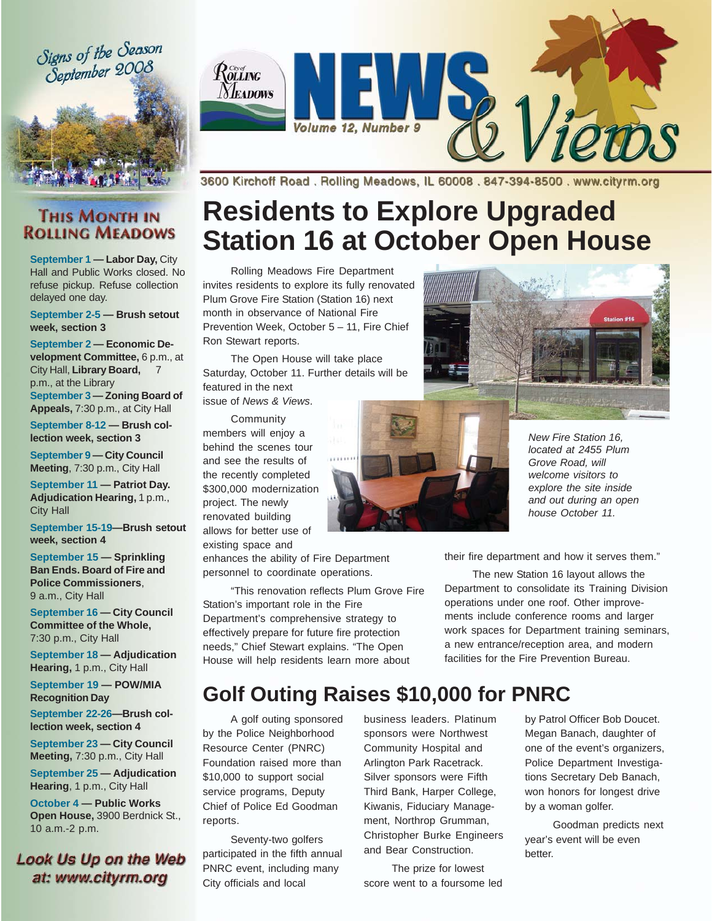Signs of the Season September 2008



 $\mathcal{R}$ orang **Y** EADOWS iew Volume 12, Number 9

**THIS MONTH IN ROLLING MEADOWS** 

**September 1 — Labor Day,** City Hall and Public Works closed. No refuse pickup. Refuse collection delayed one day.

**September 2-5 — Brush setout week, section 3**

**September 2 — Economic Development Committee,** 6 p.m., at City Hall, **Library Board,** 7 p.m., at the Library **September 3 — Zoning Board of Appeals,** 7:30 p.m., at City Hall

**September 8-12 — Brush collection week, section 3**

**September 9 — City Council Meeting**, 7:30 p.m., City Hall

**September 11 — Patriot Day. Adjudication Hearing,** 1 p.m., City Hall

**September 15-19—Brush setout week, section 4**

**September 15 — Sprinkling Ban Ends. Board of Fire and Police Commissioners**, 9 a.m., City Hall

**September 16 — City Council Committee of the Whole,** 7:30 p.m., City Hall

**September 18 — Adjudication Hearing,** 1 p.m., City Hall

**September 19 — POW/MIA Recognition Day**

**September 22-26—Brush collection week, section 4**

**September 23 — City Council Meeting,** 7:30 p.m., City Hall

**September 25 — Adjudication Hearing**, 1 p.m., City Hall

**October 4 — Public Works Open House,** 3900 Berdnick St., 10 a.m.-2 p.m.

#### **Look Us Up on the Web** at: www.cityrm.org

3600 Kirchoff Road, Rolling Meadows, IL 60008, 847-394-8500, www.cityrm.org

# **Residents to Explore Upgraded Station 16 at October Open House**

Rolling Meadows Fire Department invites residents to explore its fully renovated Plum Grove Fire Station (Station 16) next month in observance of National Fire Prevention Week, October 5 – 11, Fire Chief Ron Stewart reports.

The Open House will take place Saturday, October 11. Further details will be featured in the next issue of *News & Views*.

**Community** members will enjoy a behind the scenes tour and see the results of the recently completed \$300,000 modernization project. The newly renovated building allows for better use of existing space and

enhances the ability of Fire Department personnel to coordinate operations.

"This renovation reflects Plum Grove Fire Station's important role in the Fire Department's comprehensive strategy to effectively prepare for future fire protection needs," Chief Stewart explains. "The Open House will help residents learn more about





*New Fire Station 16, located at 2455 Plum Grove Road, will welcome visitors to explore the site inside and out during an open house October 11.*

their fire department and how it serves them."

The new Station 16 layout allows the Department to consolidate its Training Division operations under one roof. Other improvements include conference rooms and larger work spaces for Department training seminars, a new entrance/reception area, and modern facilities for the Fire Prevention Bureau.

## **Golf Outing Raises \$10,000 for PNRC**

A golf outing sponsored by the Police Neighborhood Resource Center (PNRC) Foundation raised more than \$10,000 to support social service programs, Deputy Chief of Police Ed Goodman reports.

Seventy-two golfers participated in the fifth annual PNRC event, including many City officials and local

business leaders. Platinum sponsors were Northwest Community Hospital and Arlington Park Racetrack. Silver sponsors were Fifth Third Bank, Harper College, Kiwanis, Fiduciary Management, Northrop Grumman, Christopher Burke Engineers and Bear Construction.

The prize for lowest score went to a foursome led by Patrol Officer Bob Doucet. Megan Banach, daughter of one of the event's organizers, Police Department Investigations Secretary Deb Banach, won honors for longest drive by a woman golfer.

Goodman predicts next year's event will be even better.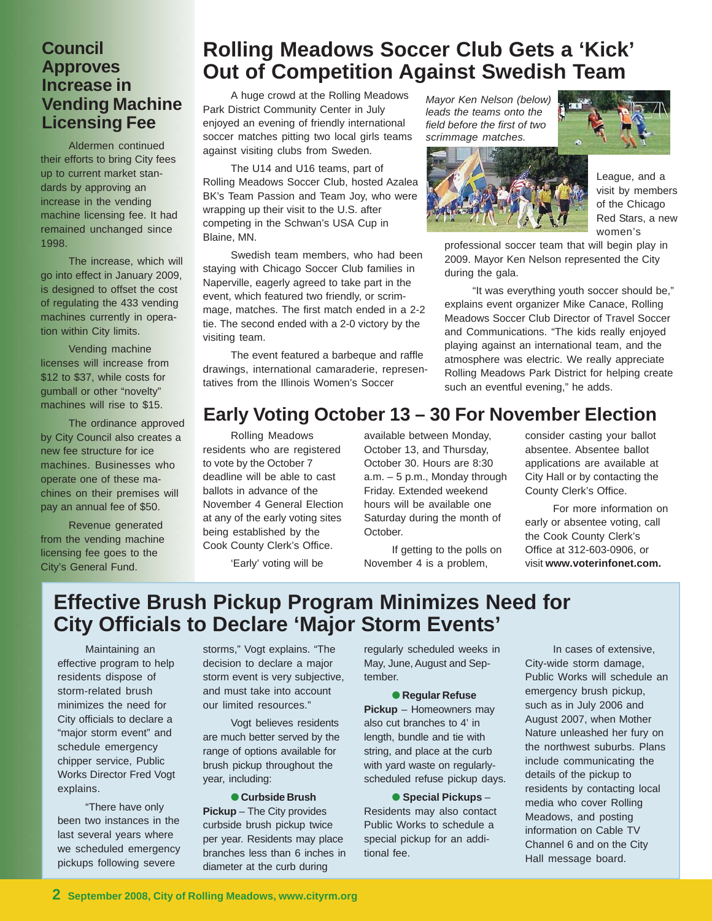#### **Council Approves Increase in Vending Machine Licensing Fee**

Aldermen continued their efforts to bring City fees up to current market standards by approving an increase in the vending machine licensing fee. It had remained unchanged since 1998.

The increase, which will go into effect in January 2009, is designed to offset the cost of regulating the 433 vending machines currently in operation within City limits.

Vending machine licenses will increase from \$12 to \$37, while costs for gumball or other "novelty" machines will rise to \$15.

The ordinance approved by City Council also creates a new fee structure for ice machines. Businesses who operate one of these machines on their premises will pay an annual fee of \$50.

Revenue generated from the vending machine licensing fee goes to the City's General Fund.

## **Rolling Meadows Soccer Club Gets a 'Kick' Out of Competition Against Swedish Team**

A huge crowd at the Rolling Meadows Park District Community Center in July enjoyed an evening of friendly international soccer matches pitting two local girls teams against visiting clubs from Sweden.

The U14 and U16 teams, part of Rolling Meadows Soccer Club, hosted Azalea BK's Team Passion and Team Joy, who were wrapping up their visit to the U.S. after competing in the Schwan's USA Cup in Blaine, MN.

Swedish team members, who had been staying with Chicago Soccer Club families in Naperville, eagerly agreed to take part in the event, which featured two friendly, or scrimmage, matches. The first match ended in a 2-2 tie. The second ended with a 2-0 victory by the visiting team.

The event featured a barbeque and raffle drawings, international camaraderie, representatives from the Illinois Women's Soccer

*Mayor Ken Nelson (below) leads the teams onto the field before the first of two scrimmage matches.*



League, and a visit by members of the Chicago Red Stars, a new women's

professional soccer team that will begin play in 2009. Mayor Ken Nelson represented the City during the gala.

"It was everything youth soccer should be," explains event organizer Mike Canace, Rolling Meadows Soccer Club Director of Travel Soccer and Communications. "The kids really enjoyed playing against an international team, and the atmosphere was electric. We really appreciate Rolling Meadows Park District for helping create such an eventful evening," he adds.

### **Early Voting October 13 – 30 For November Election**

Rolling Meadows residents who are registered to vote by the October 7 deadline will be able to cast ballots in advance of the November 4 General Election at any of the early voting sites being established by the Cook County Clerk's Office.

'Early' voting will be

available between Monday, October 13, and Thursday, October 30. Hours are 8:30 a.m. – 5 p.m., Monday through Friday. Extended weekend hours will be available one Saturday during the month of October.

If getting to the polls on November 4 is a problem,

consider casting your ballot absentee. Absentee ballot applications are available at City Hall or by contacting the County Clerk's Office.

For more information on early or absentee voting, call the Cook County Clerk's Office at 312-603-0906, or visit **www.voterinfonet.com.**

### **Effective Brush Pickup Program Minimizes Need for City Officials to Declare 'Major Storm Events'**

Maintaining an effective program to help residents dispose of storm-related brush minimizes the need for City officials to declare a "major storm event" and schedule emergency chipper service, Public Works Director Fred Vogt explains.

"There have only been two instances in the last several years where we scheduled emergency pickups following severe

storms," Vogt explains. "The decision to declare a major storm event is very subjective, and must take into account our limited resources."

Vogt believes residents are much better served by the range of options available for brush pickup throughout the year, including:

#### ● **Curbside Brush**

**Pickup** – The City provides curbside brush pickup twice per year. Residents may place branches less than 6 inches in diameter at the curb during

regularly scheduled weeks in May, June, August and September.

#### ● **Regular Refuse**

**Pickup** – Homeowners may also cut branches to 4' in length, bundle and tie with string, and place at the curb with yard waste on regularlyscheduled refuse pickup days.

#### ● **Special Pickups** –

Residents may also contact Public Works to schedule a special pickup for an additional fee.

In cases of extensive, City-wide storm damage, Public Works will schedule an emergency brush pickup, such as in July 2006 and August 2007, when Mother Nature unleashed her fury on the northwest suburbs. Plans include communicating the details of the pickup to residents by contacting local media who cover Rolling Meadows, and posting information on Cable TV Channel 6 and on the City Hall message board.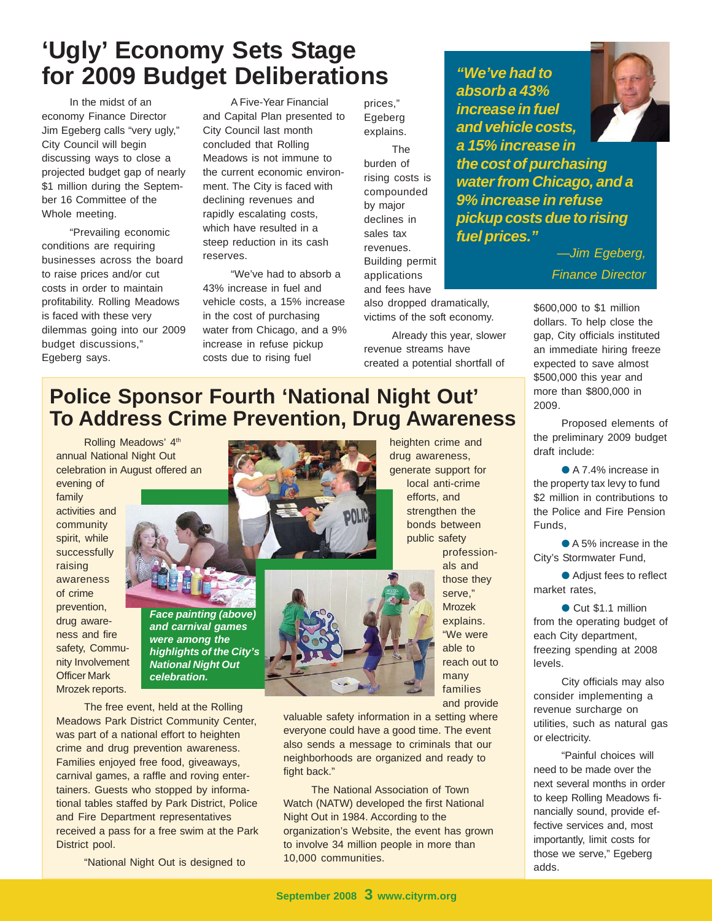## **'Ugly' Economy Sets Stage for 2009 Budget Deliberations**

In the midst of an economy Finance Director Jim Egeberg calls "very ugly," City Council will begin discussing ways to close a projected budget gap of nearly \$1 million during the September 16 Committee of the Whole meeting.

"Prevailing economic conditions are requiring businesses across the board to raise prices and/or cut costs in order to maintain profitability. Rolling Meadows is faced with these very dilemmas going into our 2009 budget discussions," Egeberg says.

A Five-Year Financial and Capital Plan presented to City Council last month concluded that Rolling Meadows is not immune to the current economic environment. The City is faced with declining revenues and rapidly escalating costs, which have resulted in a steep reduction in its cash reserves.

"We've had to absorb a 43% increase in fuel and vehicle costs, a 15% increase in the cost of purchasing water from Chicago, and a 9% increase in refuse pickup costs due to rising fuel

prices," Egeberg explains.

The burden of rising costs is compounded by major declines in sales tax revenues. Building permit applications and fees have

also dropped dramatically, victims of the soft economy.

Already this year, slower revenue streams have created a potential shortfall of

*"We've had to absorb a 43% increase in fuel and vehicle costs, a 15% increase in*



*the cost of purchasing water from Chicago, and a 9% increase in refuse pickup costs due to rising fuel prices."*

*—Jim Egeberg,*

*Finance Director*

\$600,000 to \$1 million dollars. To help close the gap, City officials instituted an immediate hiring freeze expected to save almost \$500,000 this year and more than \$800,000 in 2009.

Proposed elements of the preliminary 2009 budget draft include:

● A 7.4% increase in the property tax levy to fund \$2 million in contributions to the Police and Fire Pension Funds,

● A 5% increase in the City's Stormwater Fund,

● Adjust fees to reflect market rates,

● Cut \$1.1 million from the operating budget of each City department, freezing spending at 2008 levels.

City officials may also consider implementing a revenue surcharge on utilities, such as natural gas or electricity.

"Painful choices will need to be made over the next several months in order to keep Rolling Meadows financially sound, provide effective services and, most importantly, limit costs for those we serve," Egeberg adds.

## **Police Sponsor Fourth 'National Night Out' To Address Crime Prevention, Drug Awareness**

Rolling Meadows' 4th annual National Night Out celebration in August offered an

evening of family activities and community spirit, while successfully raising awareness of crime prevention, drug awareness and fire safety, Community Involvement Officer Mark Mrozek reports.



*Face painting (above) and carnival games were among the highlights of the City's National Night Out celebration.*

The free event, held at the Rolling Meadows Park District Community Center, was part of a national effort to heighten crime and drug prevention awareness. Families enjoyed free food, giveaways, carnival games, a raffle and roving entertainers. Guests who stopped by informational tables staffed by Park District, Police and Fire Department representatives received a pass for a free swim at the Park District pool.

"National Night Out is designed to

heighten crime and drug awareness, generate support for local anti-crime efforts, and strengthen the bonds between public safety profession-

als and those they serve," Mrozek explains. "We were able to reach out to many families and provide

valuable safety information in a setting where everyone could have a good time. The event also sends a message to criminals that our neighborhoods are organized and ready to fight back."

The National Association of Town Watch (NATW) developed the first National Night Out in 1984. According to the organization's Website, the event has grown to involve 34 million people in more than 10,000 communities.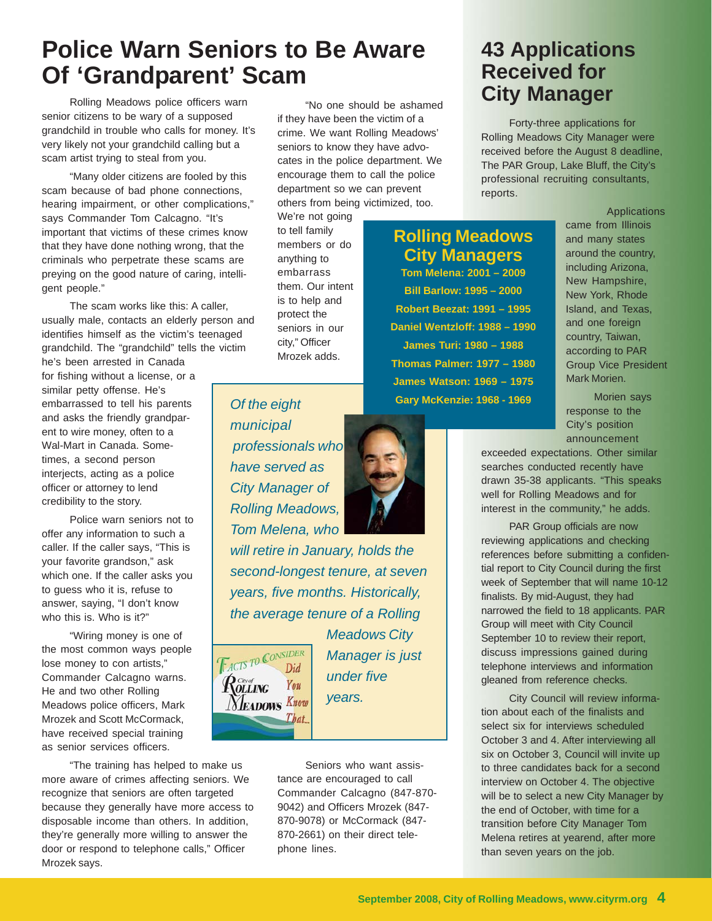## **Police Warn Seniors to Be Aware Of 'Grandparent' Scam**

senior citizens to be wary of a supposed grandchild in trouble who calls for money. It's very likely not your grandchild calling but a scam artist trying to steal from you.

"Many older citizens are fooled by this scam because of bad phone connections, hearing impairment, or other complications," says Commander Tom Calcagno. "It's important that victims of these crimes know that they have done nothing wrong, that the criminals who perpetrate these scams are preying on the good nature of caring, intelligent people."

The scam works like this: A caller, usually male, contacts an elderly person and identifies himself as the victim's teenaged grandchild. The "grandchild" tells the victim he's been arrested in Canada

for fishing without a license, or a similar petty offense. He's embarrassed to tell his parents and asks the friendly grandparent to wire money, often to a Wal-Mart in Canada. Sometimes, a second person interjects, acting as a police officer or attorney to lend credibility to the story.

Police warn seniors not to offer any information to such a caller. If the caller says, "This is your favorite grandson," ask which one. If the caller asks you to guess who it is, refuse to answer, saying, "I don't know who this is. Who is it?"

"Wiring money is one of the most common ways people lose money to con artists," Commander Calcagno warns. He and two other Rolling Meadows police officers, Mark Mrozek and Scott McCormack, have received special training as senior services officers.

"The training has helped to make us more aware of crimes affecting seniors. We recognize that seniors are often targeted because they generally have more access to disposable income than others. In addition, they're generally more willing to answer the door or respond to telephone calls," Officer Mrozek says.

"No one should be ashamed if they have been the victim of a crime. We want Rolling Meadows' seniors to know they have advocates in the police department. We encourage them to call the police department so we can prevent others from being victimized, too.

We're not going to tell family members or do anything to embarrass them. Our intent is to help and protect the seniors in our city," Officer Mrozek adds.

#### **Rolling Meadows City Managers**

**Tom Melena: 2001 – 2009 Bill Barlow: 1995 – 2000 Robert Beezat: 1991 – 1995 Daniel Wentzloff: 1988 – 1990 James Turi: 1980 – 1988 Thomas Palmer: 1977 – 1980 James Watson: 1969 – 1975 Gary McKenzie: 1968 - 1969**

Applications came from Illinois and many states around the country, including Arizona, New Hampshire, New York, Rhode Island, and Texas, and one foreign country, Taiwan, according to PAR Group Vice President Mark Morien.

Morien says response to the City's position announcement

exceeded expectations. Other similar searches conducted recently have drawn 35-38 applicants. "This speaks well for Rolling Meadows and for interest in the community," he adds.

PAR Group officials are now reviewing applications and checking references before submitting a confidential report to City Council during the first week of September that will name 10-12 finalists. By mid-August, they had narrowed the field to 18 applicants. PAR Group will meet with City Council September 10 to review their report, discuss impressions gained during telephone interviews and information gleaned from reference checks.

City Council will review information about each of the finalists and select six for interviews scheduled October 3 and 4. After interviewing all six on October 3, Council will invite up to three candidates back for a second interview on October 4. The objective will be to select a new City Manager by the end of October, with time for a transition before City Manager Tom Melena retires at yearend, after more than seven years on the job.

*Of the eight municipal professionals who have served as City Manager of Rolling Meadows, Tom Melena, who*

*will retire in January, holds the second-longest tenure, at seven years, five months. Historically, the average tenure of a Rolling*



*Meadows City Manager is just under five years.*

Seniors who want assistance are encouraged to call Commander Calcagno (847-870- 9042) and Officers Mrozek (847- 870-9078) or McCormack (847- 870-2661) on their direct telephone lines.



## **43 Applications Received for** Rolling Meadows police officers warn **Example 2016** We ashamed **City Manager**

Forty-three applications for Rolling Meadows City Manager were received before the August 8 deadline, The PAR Group, Lake Bluff, the City's professional recruiting consultants, reports.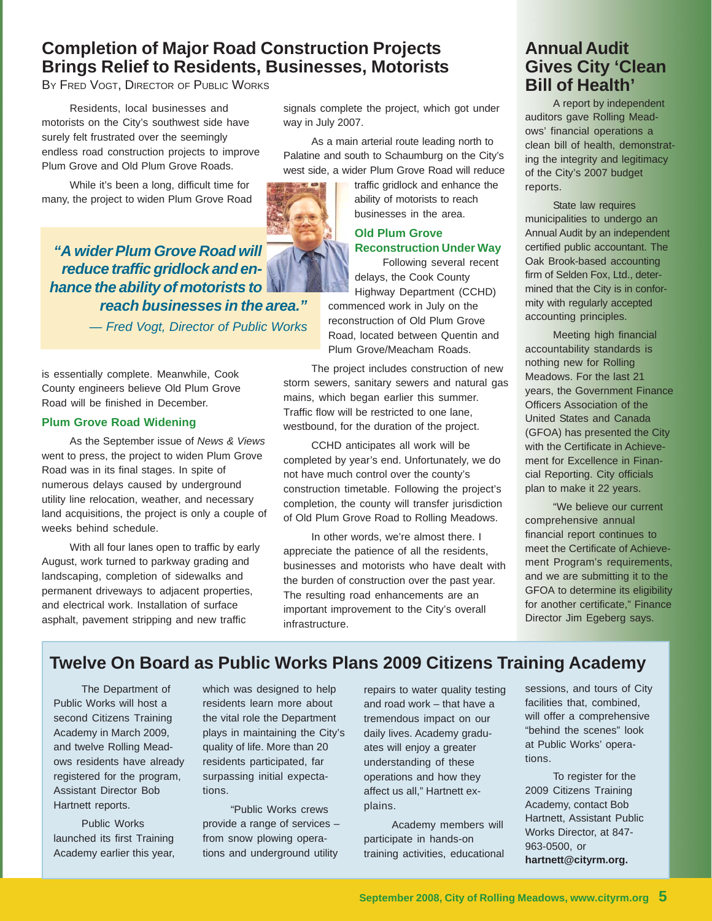### **Completion of Major Road Construction Projects Brings Relief to Residents, Businesses, Motorists**

BY FRED VOGT, DIRECTOR OF PUBLIC WORKS

Residents, local businesses and motorists on the City's southwest side have surely felt frustrated over the seemingly endless road construction projects to improve Plum Grove and Old Plum Grove Roads.

While it's been a long, difficult time for many, the project to widen Plum Grove Road

*"A wider Plum Grove Road will reduce traffic gridlock and enhance the ability of motorists to reach businesses in the area."*

*— Fred Vogt, Director of Public Works*

is essentially complete. Meanwhile, Cook County engineers believe Old Plum Grove Road will be finished in December.

#### **Plum Grove Road Widening**

As the September issue of *News & Views* went to press, the project to widen Plum Grove Road was in its final stages. In spite of numerous delays caused by underground utility line relocation, weather, and necessary land acquisitions, the project is only a couple of weeks behind schedule.

With all four lanes open to traffic by early August, work turned to parkway grading and landscaping, completion of sidewalks and permanent driveways to adjacent properties, and electrical work. Installation of surface asphalt, pavement stripping and new traffic

signals complete the project, which got under way in July 2007.

As a main arterial route leading north to Palatine and south to Schaumburg on the City's west side, a wider Plum Grove Road will reduce

> traffic gridlock and enhance the ability of motorists to reach businesses in the area.

#### **Old Plum Grove Reconstruction Under Way**

Following several recent delays, the Cook County Highway Department (CCHD)

commenced work in July on the reconstruction of Old Plum Grove Road, located between Quentin and Plum Grove/Meacham Roads.

The project includes construction of new storm sewers, sanitary sewers and natural gas mains, which began earlier this summer. Traffic flow will be restricted to one lane, westbound, for the duration of the project.

CCHD anticipates all work will be completed by year's end. Unfortunately, we do not have much control over the county's construction timetable. Following the project's completion, the county will transfer jurisdiction of Old Plum Grove Road to Rolling Meadows.

In other words, we're almost there. I appreciate the patience of all the residents, businesses and motorists who have dealt with the burden of construction over the past year. The resulting road enhancements are an important improvement to the City's overall infrastructure.

#### **Annual Audit Gives City 'Clean Bill of Health'**

A report by independent auditors gave Rolling Meadows' financial operations a clean bill of health, demonstrating the integrity and legitimacy of the City's 2007 budget reports.

State law requires municipalities to undergo an Annual Audit by an independent certified public accountant. The Oak Brook-based accounting firm of Selden Fox, Ltd., determined that the City is in conformity with regularly accepted accounting principles.

Meeting high financial accountability standards is nothing new for Rolling Meadows. For the last 21 years, the Government Finance Officers Association of the United States and Canada (GFOA) has presented the City with the Certificate in Achievement for Excellence in Financial Reporting. City officials plan to make it 22 years.

"We believe our current comprehensive annual financial report continues to meet the Certificate of Achievement Program's requirements, and we are submitting it to the GFOA to determine its eligibility for another certificate," Finance Director Jim Egeberg says.

### **Twelve On Board as Public Works Plans 2009 Citizens Training Academy**

The Department of Public Works will host a second Citizens Training Academy in March 2009, and twelve Rolling Meadows residents have already registered for the program, Assistant Director Bob Hartnett reports.

Public Works launched its first Training Academy earlier this year,

which was designed to help residents learn more about the vital role the Department plays in maintaining the City's quality of life. More than 20 residents participated, far surpassing initial expectations.

"Public Works crews provide a range of services – from snow plowing operations and underground utility

repairs to water quality testing and road work – that have a tremendous impact on our daily lives. Academy graduates will enjoy a greater understanding of these operations and how they affect us all," Hartnett explains.

Academy members will participate in hands-on training activities, educational sessions, and tours of City facilities that, combined, will offer a comprehensive "behind the scenes" look at Public Works' operations.

To register for the 2009 Citizens Training Academy, contact Bob Hartnett, Assistant Public Works Director, at 847- 963-0500, or **hartnett@cityrm.org.**